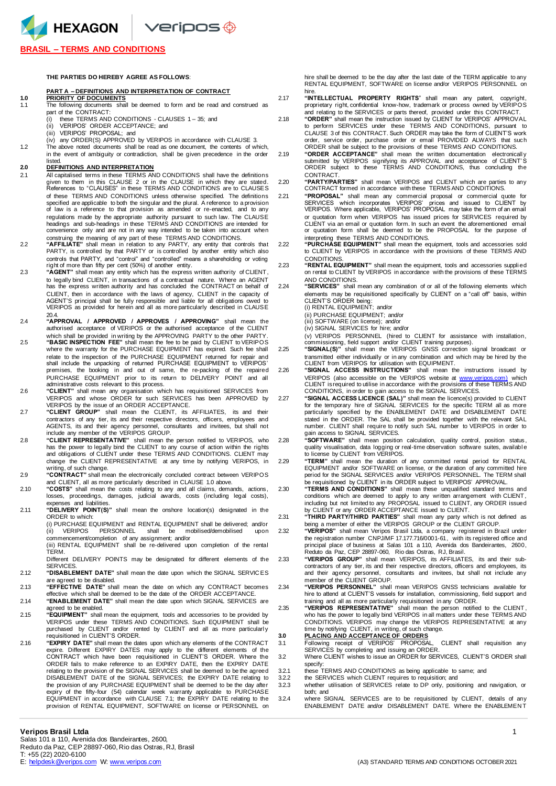HEXAGON Veripos +

## **BRASIL – TERMS AND CONDITIONS**

### **THE PARTIES DO HEREBY AGREE AS FOLLOWS**:

### **PEFINITIONS AND INTERPRETATION OF CONTRACT**

# **1.0 PRIORITY OF DOCUMENTS**

- The following documents shall be deemed to form and be read and construed as part of the CONTRACT:<br>(i) these TERMS AND
- (i) these TERMS AND CONDITIONS CLAUSES 1 35; and<br>(ii) VERIPOS' ORDER ACCEPTANCE: and
- VERIPOS' ORDER ACCEPTANCE; and
- (iii) VERIPOS' PROPOSAL; and (iv) any ORDER(S) APPROVED by VERIPOS in accordance with CLAUSE 3.
- 1.2 The above noted documents shall be read as one document, the contents of which,
	- in the event of ambiguity or contradiction, shall be given precedence in the order listed.

## **2.0 DEFINITIONS AND INTERPRETATION**

- 2.1 All capitalised terms in these TERMS AND CONDITIONS shall have the definitions<br>given to them in this CLAUSE 2 or in the CLAUSE in which they are stated.<br>References to "CLAUSES" in these TERMS AND CONDITIONS are to CLAU of these TERMS AND CONDITIONS unless otherwise specified. The definitions<br>specified are applicable to both the singular and the plural. A reference to a provision<br>of law is a reference to that provision as amended or re-en regulations made by the appropriate authority pursuant to such law. The CLAUSE<br>headings and sub-headings in these TERMS AND CONDITIONS are intended for<br>convenience only and are not in any way intended to be taken into acco
- construing the meaning of any part of these TERMS AND CONDITIONS.<br>2.2 "AFFILATE" shall mean in relation to any PARTY, any entity that controls that<br>PARTY, is controlled by that PARTY or is controlled by another entity whic controls that PARTY, and "control" and "controlled" means a shareholding or voting
- right of more than fifty per cent (50%) of another entity. 2.3 **"AGENT"** shall mean any entity which has the express written authority of CLIENT, to legally bind CLIENT, in transactions of a contractual nature. Where an AGENT has the express written authority and has concluded the CONTRACT on behalf of CLIENT, then in accordance with the laws of agency, CLIENT in the capacity of AGENT'S principal shall be fully responsible and liable for all obligations owed to VERIPOS as provided for herein and all as more particularly described in CLAUSE  $20.4$
- 2.4 **"APPROVAL / APPROVED / APPROVES / APPROVING"** shall mean the authorised acceptance of VERIPOS or the authorised acceptance of the CLIENT which shall be provided in writing by the APPROVING PARTY to the other PARTY.
- 2.5 **"BASIC INSPECTION FEE"** shall mean the fee to be paid by CLIENT to VERIPOS where the warranty for the PURCHASE EQUIPMENT has expired. Such fee shall relate to the inspection of the PURCHASE EQUIPMENT returned for repair and shall include the unpacking of returned PURCHASE EQUIPMENT to VERIPOS' premises, the booking in and out of same, the re-packing of the repaired PURCHASE EQUIPMENT prior to its return to DELIVERY POINT and all administrative costs relevant to this process.
- 2.6 **"CLIENT"** shall mean any organisation which has requisitioned SERVICES from VERIPOS and whose ORDER for such SERVICES has been APPROVED by<br>VERIPOS by the issue of an ORDER ACCEPTANCE.<br>2.7 **"CLIENT GROUP**" shall mean the CLIENT, its AFFILIATES, its and their
- contractors of any tier, its and their respective directors, officers, employees and AGENTS, its and their agency personnel, consultants and invitees, but shall not include any member of the VERIPOS GROUP.
- 2.8 **"CLIENT REPRESENTATIVE"** shall mean the person notified to VERIPOS, who has the power to legally bind the CLIENT to any course of action within the rights and obligations of CLIENT under these TERMS AND CONDITIONS. CLIENT may change the CLIENT REPRESENTATIVE at any time by notifying VERIPOS, in
- writing, of such change.<br>2.9 **"CONTRACT"** shall mean the electronically concluded contract between VERIPOS and CLIENT, all as more particularly described in CLAUSE 1.0 above.
- 2.10 **"COSTS"** shall mean the costs relating to any and all claims, demands, actions, losses, proceedings, damages, judicial awards, costs (including legal costs), expenses and liabilities.
- 2.11 **"DELIVERY POINT(S)"** shall mean the onshore location(s) designated in the ORDER to which:

(i) PURCHASE EQUIPMENT and RENTAL EQUIPMENT shall be delivered; and/or<br>(ii) VERIPOS PERSONNEL shall be mobilised/demobilised upon VERIPOS PERSONNEL shall be mobilised/demobilised

commencement/completion of any assignment; and/or (iii) RENTAL EQUIPMENT shall be re-delivered upon completion of the rental TERM.

Different DELIVERY POINTS may be designated for different elements of the **SERVICES** 

- 2.12 **"DISABLEMENT DATE"** shall mean the date upon which the SIGNAL SERVIC ES are agreed to be disabled.
- 2.13 **"EFFECTIVE DATE"** shall mean the date on which any CONTRACT becomes effective which shall be deemed to be the date of the ORDER ACCEPTANCE.

2.14 **"ENABLEMENT DATE"** shall mean the date upon which SIGNAL SERVICES are agreed to be enabled.

- 2.15 **"EQUIPMENT"** shall mean the equipment, tools and accessories to be provided by VERIPOS under these TERMS AND CONDITIONS. Such EQUIPMENT shall be purchased by CLIENT and/or rented by CLIENT and all as more particularly requisitioned in CLIENT'S ORDER.
- "EXPIRY DATE" shall mean the dates upon which any elements of the CONTRACT<br>expire. Different EXPIRY DATES may apply to the different elements of the<br>CONTRACT which have been requisitioned in CLIENT'S ORDER. Where the ORDER fails to make reference to an EXPIRY DATE, then the EXPIRY DATE<br>relating to the provision of the SIGNAL SERVICES shall be deemed to be the agreed<br>DISABLEMENT DATE of the SIGNAL SERVICES; the EXPIRY DATE relating to the provision of any PURCHASE EQUIPMENT shall be deemed to be the day after<br>expiry of the fifty-four (54) calendar week warranty applicable to PURCHASE<br>EQUIPMENT in accordance with CLAUSE 7.1; the EXPIRY DATE relating to t provision of RENTAL EQUIPMENT, SOFTWARE on license or PERSONNEL on

hire shall be deemed to be the day after the last date of the TERM applicable to any RENTAL EQUIPMENT, SOFTWARE on license and/or VERIPOS PERSONNEL on

- hire.<br>2.17 **"INTELLECTUAL PROPERTY RIGHTS**" shall mean any patent, copyright,<br>proprietary right,confidential know-how, trademark or process owned by VERIPOS and relating to the SERVICES or parts thereof, provided under this CONTRACT. 2.18 **"ORDER"** shall mean the instruction issued by CLIENT for VERIPOS' APPROVAL
	- to perform SERVICES under these TERMS AND CONDITIONS, pursuant to CLAUSE 3 of this CONTRACT. Such ORDER may take the form of CLIENT'S work order, service order, purchase order or email PROVIDED ALWAYS that such ORDER shall be subject to the provisions of these TERMS AND CONDITIONS.
- 2.19 **"ORDER ACCEPTANCE"** shall mean the written documentation electronicall y submitted by VERIPOS signifying its APPROVAL and acceptance of CLIENT' S ORDER subject to these TERMS AND CONDITIONS, thus concluding the CONTRACT.

2.20 **"PARTY/PARTIES"** shall mean VERIPOS and CLIENT which are parties to any CONTRACT formed in accordance with these TERMS AND CONDITIONS.

- "PROPOSAL" shall mean any commercial proposal or commercial quote for<br>SERVICES which incorporates VERIPOS" prices and issued to CLIENT by<br>VERIPOS. Where applicable, VERIPOS' PROPOSAL may take the form of an email or quotation form when VERIPOS has issued prices for SERVICES required by CLIENT via an email or quotation form. In such an event the aforementioned email or quotation form shall be deemed to be the PROPOSAL for the purpose of
- interpreting these TERMS AND CONDITIONS. 2.22 **"PURCHASE EQUIPMENT"** shall mean the equipment, tools and accessories sold to CLIENT by VERIPOS in accordance with the provisions of these TERMS AND CONDITIONS.

2.23 **"RENTAL EQUIPMENT"** shall mean the equipment, tools and accessories supplied<br>on rental to CLIENT by VERIPOS in accordance with the provisions of these TERMS

AND CONDITIONS. 2.24 **"SERVICES"** shall mean any combination of or all of the following elements which elements may be requisitioned specifically by CLIENT on a "call off" basis, within

CLIENT'S ORDER being: (i) RENTAL EQUIPMENT; and/or

(ii) PURCHASE EQUIPMENT; and/or

(iii) SOFTWARE (on license); and/or (iv) SIGNAL SERVICES for hire; and/or

(v) VERIPOS PERSONNEL (hired to CLIENT for assistance with installation, commissioning, field support and/or CLIENT training purposes). 2.25 **"SIGNAL(S)"** shall mean the VERIPOS GNSS correction signal broadcast or

transmitted either individually or in any combination and which may be hired by the<br>CLIENT from VERIPOS for utilisation with EQUIPMENT.<br>226 **"SIGNAL ACCESS INSTRUCTIONS"** shall mean the instructions issued by

VERIPOS (also accessible on the VERIPOS website at <u>www.veripos.com)</u> which<br>CLIENT isrequired to utilise in accordance with the provisions of these TERMS AND<br>CONDITIONS, in order to gain access to the SIGNAL SERVICES.

"SIGNAL ACCESS LICENCE (SAL)" shall mean the licence(s) provided to CLIENT<br>for the temporary hire of SIGNAL SERVICES for the specific TERM all as more<br>particularly specified by the ENABLEMENT DATE and DISABLEMENT DATE stated in the ORDER. The SAL shall be provided together with the relevant SAL number. CLIENT shall require to notify such SAL number to VERIPOS in order to gain access to SIGNAL SERVICES.

2.28 **"SOFTWARE"** shall mean position calculation, quality control, position status, quality visualisation, data logging or real-time observation software suites, availabl e to license by CLIENT from VERIPOS.<br>"TERM" shall mean the duration of

2.29 **"TERM"** shall mean the duration of any committed rental period for RENTAL EQUIPMENT and/or SOFTWARE on license, or the duration of any committed hire period for the SIGNAL SERVICES and/or VERIPOS PERSONNEL. The TERM shall be requisitioned by CLIENT in its ORDER subject to VERIPOS' APPROVAL.

2.30 **"TERMS AND CONDITIONS"** shall mean these unqualified standard terms and conditions which are deemed to apply to any written arrangement with CLIENT, including but not limited to any PROPOSAL issued to CLIENT, any ORDER issued<br>by CLIENT or any ORDER ACCEPTANCE issued to CLIENT.<br>2.31 **"THIRD PARTY/THIRD PARTIES"** shall mean any party which is not defined as

being a member of either the VERIPOS GROUP or the CLIENT GROUP.

2.32 **"VERIPOS"** shall mean Veripos Brasil Ltda, a company registered in Brazil under the registration number CNPJ/MF 17.177.716/0001-61, with its registered office and principal place of business at Salas 101 a 110, Avenida dos Bandeirantes, 2600, Reduto da Paz, CEP 28897-060, Rio das Ostras, RJ, Brasil.

2.33 **"VERIPOS GROUP"** shall mean VERIPOS, its AFFILIATES, its and their subcontractors of any tier, its and their respective directors, officers and employees, its and their agency personnel, consultants and invitees, but shall not include any member of the CLIENT GROUP.

2.34 **"VERIPOS PERSONNEL"** shall mean VERIPOS GNSS technicians available for hire to attend at CLIENT'S vessels for installation, commissioning, field support and

training and all as more particularly requisitioned in any ORDER. 2.35 **"VERIPOS REPRESENTATIVE"** shall mean the person notified to the CLIENT , who has the power to legally bind VERIPOS in all matters under these TERMS AND CONDITIONS. VERIPOS may change the VERIPOS REPRESENTATIVE at any<br>time by notifying CLIENT, in writing, of such change.<br>**3.0 PLACING AND ACCEPTANCE OF ORDERS** 

3.1 Following receipt of VERIPOS' PROPOSAL, CLIENT shall requisition any SERVICES by completing and issuing an ORDER. 3.2 Where CLIENT wishes to issue an ORDER for SERVICES, CLIENT'S ORDER shall

- specify: 3.2.1 these TERMS AND CONDITIONS as being applicable to same; and
- 3.2.2 the SERVICES which CLIENT requires to requisition; and
- 3.2.3 whether utilisation of SERVICES relate to DP only, positioning and navigation, or both; and
- 3.2.4 where SIGNAL SERVICES are to be requisitioned by CLIENT, details of any ENABLEMENT DATE and/or DISABLEMENT DATE. Where the ENABLEMEN T

## **Veripos Brasil Ltda** 1

Salas 101 a 110, Avenida dos Bandeirantes, 2600, Reduto da Paz, CEP 28897-060, Rio das Ostras, RJ, Brasil T: +55 (22) 2020-6100<br>E: helpdesk @veripos.com W: www.veripos.com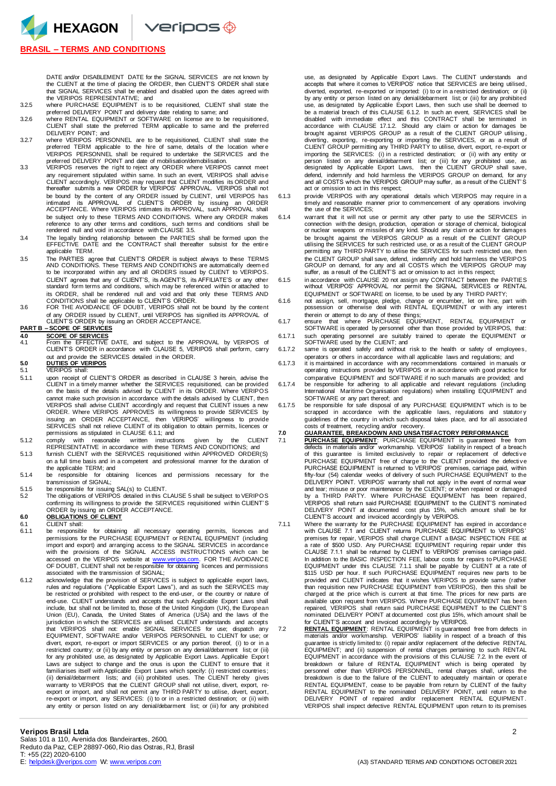$\vee$ eripos $\circledast$ 

# **BRASIL – TERMS AND CONDITIONS**

HEXAGON

DATE and/or DISABLEMENT DATE for the SIGNAL SERVICES are not known by the CLIENT at the time of placing the ORDER, then CLIENT'S ORDER shall state that SIGNAL SERVICES shall be enabled and disabled upon the dates agreed with the VERIPOS REPRESENTATIVE; and 3.2.5 where PURCHASE EQUIPMENT is to be requisitioned, CLIENT shall state the

- 
- preferred DELIVERY POINT and delivery date relating to same; and 3.2.6 where RENTAL EQUIPMENT or SOFTWARE on license are to be requisitioned, CLIENT shall state the preferred TERM applicable to same and the preferred DELIVERY POINT; and
- 3.2.7 where VERIPOS PERSONNEL are to be requisitioned, CLIENT shall state the preferred TERM applicable to the hire of same, details of the location wher e VERIPOS PERSONNEL shall be required to undertake the SERVICES and the preferred DELIVERY POINT and date of mobilisation/demobilisation.
- 3.3 VERIPOS reserves the right to reject any ORDER where VERIPOS cannot meet any requirement stipulated within same. In such an event, VERIPOS shall advise<br>CLIENT accordingly. VERIPOS may request that CLIENT modifies its ORDER and<br>thereafter submits a new ORDER for VERIPOS' APPROVAL. VERIPOS shall be bound by the content of any ORDER issued by CLIENT, until VERIPOS has<br>intimated its APPROVAL of CLIENT'S ORDER by issuing an ORDER<br>ACCEPTANCE. Where VERIPOS intimates its APPROVAL, such APPROVAL shall be subject only to these TERMS AND CONDITIONS. Where any ORDER makes reference to any other terms and conditions, such terms and conditions shall be rendered null and void in accordance with CLAUSE 3.5.
- 3.4 The legally binding relationship between the PARTIES shall be formed upon the EFFECTIVE DATE and the CONTRACT shall thereafter subsist for the entire applicable TERM.
- 3.5 The PARTIES agree that CLIENT'S ORDER is subject always to these TERMS AND CONDITIONS. These TERMS AND CONDITIONS are automatically deem ed to be incorporated within any and all ORDERS issued by CLIENT to VERIPOS. CLIENT agrees that any of CLIENT'S, its AGENT'S, its AFFILIATE'S or any other standard form terms and conditions, which may be referenced within or attached to its ORDER, shall be rendered null and void and that only these TERMS AND
- CONDITIONS shall be applicable to CLIENT'S ORDER. 3.6 FOR THE AVOIDANCE OF DOUBT, VERIPOS shall not be bound by the content of any ORDER issued by CLIENT, until VERIPOS has signified its APPROVAL of CLIENT'S ORDER by issuing an ORDER ACCEPTANCE. **PART B – SCOPE OF SERVICES**

**4.0 SCOPE OF SERVICES**<br>4.1 From the EFFECTIVE 4.1 From the EFFECTIVE DATE, and subject to the APPROVAL by VERIPOS of CLIENT'S ORDER in accordance with CLAUSE 5, VERIPOS shall perform, carry out and provide the SERVICES detailed in the ORDER.

# **5.0 DUTIES OF VERIPOS**

- 5.1 VERIPOS shall:<br>5.1.1 upon receipt of upon receipt of CLIENT'S ORDER as described in CLAUSE 3 herein, advise the CLIENT in a timely manner whether the SERVICES requisitioned, can be provided on the basis of the details advised by CLIENT in its ORDER. Where VERIPOS cannot make such provision in accordance with the details advised by CLIENT, then<br>VERIPOS shall advise CLIENT accordingly and request that CLIENT issues a new<br>ORDER. Where VERIPOS APPROVES its willingness to provide SERVI issuing an ORDER ACCEPTANCE, then VERIPOS' willingness to provide<br>SERVICES shall not relieve CLIENT of its obligation to obtain permits, licences or<br>permissions as stipulated in CLAUSE 6.1.1; and
- 5.1.2 comply with reasonable written instructions given by the CLIENT REPRESENTATIVE in accordance with these TERMS AND CONDITIONS; and
- 5.1.3 furnish CLIENT with the SERVICES requisitioned within APPROVED ORDER(S) on a full time basis and in a competent and professional manner for the duration of the applicable TERM; and
- 5.1.4 be responsible for obtaining licences and permissions necessary for the transmission of SIGNAL;
- 
- 5.1.5 be responsible for issuing SAL(s) to CLIENT. 5.2 The obligations of VERIPOS detailed in this CLAUSE 5 shall be subject to VERIPOS confirming its willingness to provide the SERVICES requisitioned within CLIENT'S ORDER by issuing an ORDER ACCEPTANCE.

# **6.0 OBLIGATIONS OF CLIENT**

- 6.1 CLIENT shall:<br>6.1.1 be responsible be responsible for obtaining all necessary operating permits, licences and permissions for the PURCHASE EQUIPMENT or RENTAL EQUIPMENT (including import and export) and arranging access to the SIGNAL SERVICES in accordance with the provisions of the SIGNAL ACCESS INSTRUCTIONS which can be accessed on the VERIPOS website at [www.veripos.com.](http://www.veripos.com/) FOR THE AVOIDANCE<br>OF DOUBT, CLIENT shall not be responsible for obtaining licences and permissions associated with the transmission of SIGNAL;
- 6.1.2 acknowledge that the provision of SERVICES is subject to applicable export laws, rules and regulations ("Applicable Export Laws"), and as such the SERVICES may be restricted or prohibited with respect to the end-user, or the country or nature of end-use. CLIENT understands and accepts that such Applicable Export Laws shall include, but shall not be limited to, those of the United Kingdom (UK), the European Union (EU), Canada, the United States of America (USA) and the laws of the jurisdiction in which the SERVICES are utilised. CLIENT understands and accepts that VERIPOS shall not: enable SIGNAL SERVICES for use; dispatch any EQUIPMENT, SOFTWARE and/or VERIPOS PERSONNEL to CLIENT for use; or divert, export, re-export or import SERVICES or any portion thereof, (i) to or in a restricted country; or (ii) by any entity or person on any denial/debarment list; or (iii) for any prohibited use, as designated by Applicable Export Laws. Applicable Expor t Laws are subject to change and the onus is upon the CLIENT to ensure that it<br>familiarises itself with Applicable Export Laws which specify: (i) restricted countries;<br>(ii) denial/debarment lists; and (iii) prohibited uses. warranty to VERIPOS that the CLIENT GROUP shall not utilise, divert, export, re-<br>export or import, and shall not permit any THIRD PARTY to utilise, divert, export,<br>re-export or import, any SERVICES: (i) to or in a restrict any entity or person listed on any denial/debarment list; or (iii) for any prohibited

use, as designated by Applicable Export Laws. The CLIENT understands and accepts that where it comes to VERIPOS' notice that SERVICES are being utilised, diverted, exported, re-exported or imported: (i) to or in a restricted destination; or (ii) by any entity or person listed on any denial/debarment list; or (iii) for any prohibited use, as designated by Applicable Export Laws, then such use shall be deemed to be a material breach of this CLAUSE 6.1.2. In such an event, SERVICES shall be<br>disabled with immediate effect and this CONTRACT shall be terminated in<br>accordance with CLAUSE 17.1.2. Should any claim or action for damages b brought against VERIPOS GROUP as a result of the CLIENT GROUP utilising,<br>diverting, exporting, re-exporting or importing the SERVICES, or as a result of<br>CLIENT GROUP permitting any THIRD PARTY to utilise, divert, export, r importing the SERVICES: (i) in a restricted destination; or (ii) with any entity or person listed on any denial/debarment list; or (iii) for any prohibited use, as designated by Applicable Export Laws, then the CLIENT GROUP shall save, defend, indemnify and hold harmless the VERIPOS GROUP on demand, for any and all COSTS which the VERIPOS GROUP may suffer, as a result of the CLIENT' S act or omission to act in this respect;

- 6.1.3 provide VERIPOS with any operational details which VERIPOS may require in a timely and reasonable manner prior to commencement of any operations involving the use of the SERVICES;
- 6.1.4 warrant that it will not use or permit any other party to use the SERVICES in connection with the design, production, operation or storage of chemical, biological or nuclear weapons or missiles of any kind. Should any claim or action for damages be brought against the VERIPOS GROUP as a result of the CLIENT GROUP<br>utilising the SERVICES for such restricted use, or as a result of the CLIENT GROUP<br>permitting any THIRD PARTY to utilise the SERVICES for such restricted the CLIENT GROUP shall save, defend, indemnify and hold harmless the VERIPOS GROUP on demand, for any and all COSTS which the VERIPOS GROUP may suffer, as a result of the CLIENT'S act or omission to act in this respect;
- 6.1.5 in accordance with CLAUSE 20 not assign any CONTRACT between the PARTIES without VERIPOS' APPROVAL nor permit the SIGNAL SERVICES or RENTAL EQUIPMENT or SOFTWARE on license, to be used by any THIRD PARTY;
- 6.1.6 not assign, sell, mortgage, pledge, change or encumber, let on hire, part with possession or otherwise deal with RENTAL EQUIPMENT or with any interest therein or attempt to do any of these things;
- 6.1.7 ensure that where PURCHASE EQUIPMENT, RENTAL EQUIPMENT or SOFTWARE is operated by personnel other than those provided by VERIPOS, that:
- 6.1.7.1 such operating personnel are suitably trained to operate the EQUIPMENT or SOFTWARE used by the CLIENT; and 6.1.7.2 same is operated safely and without risk to the health or safety of employees,
- operators or others in accordance with all applicable laws and regulations; and 6.1.7.3 it is maintained in accordance with any recommendations contained in manuals or operating instructions provided by VERIPOS or in accordance with good practice for
- comparative EQUIPMENT and SOFTWARE if no such manuals are provided; and 6.1.7.4 be responsible for adhering to all applicable and relevant regulations (including International Maritime Organisation regulations) when installing EQUIPMENT and
- SOFTWARE or any part thereof; and 6.1.7.5 be responsible for safe disposal of any PURCHASE EQUIPMENT which is to be scrapped in accordance with the applicable laws, regulations and statutory guidelines of the country in which such disposal takes place, and for all associated

# costs of treatment, recycling and/or recovery. **7.0 GUARANTEE, BREAKDOWN AND UNSATISFACTORY PERFORMANCE**

- 7.1 **PURCHASE EQUIPMENT**: PURCHASE EQUIPMENT is guaranteed free from<br>defects in materials and/or workmanship. VERIPOS' liability in respect of a breach<br>of this guarantee is limited exclusively to repair or replacement of d PURCHASE EQUIPMENT free of charge to the CLIENT provided the defecti ve PURCHASE EQUIPMENT is returned to VERIPOS' premises, carriage paid, within fifty-four (54) calendar weeks of delivery of such PURCHASE EQUIPMENT to the DELIVERY POINT. VERIPOS' warranty shall not apply in the event of normal wear and tear; misuse or poor maintenance by the CLIENT; or when repaired or damaged by a THIRD PARTY. Where PURCHASE EQUIPMENT has been repaired, VERIPOS shall return said PURCHASE EQUIPMENT to the CLIENT'S nominated DELIVERY POINT at documented cost plus 15%, which amount shall be for CLIENT'S account and invoiced accordingly by VERIPOS.
- 7.1.1 Where the warranty for the PURCHASE EQUIPMENT has expired in accordance with CLAUSE 7.1 and CLIENT returns PURCHASE EQUIPMENT to VERIPOS' premises for repair, VERIPOS shall charge CLIENT a BASIC INSPECTION FEE at a rate of \$500 USD. Any PURCHASE EQUIPMENT requiring repair under this CLAUSE 7.1.1 shall be returned by CLIENT to VERIPOS' premises carriage paid. In addition to the BASIC INSPECTION FEE, labour costs for repairs to PURCHASE EQUIPMENT under this CLAUSE 7.1.1 shall be payable by CLIENT at a rate of \$115 USD per hour. If such PURCHASE EQUIPMENT requires new parts to be provided and CLIENT indicates that it wishes VERIPOS to provide same (rather than requisition new PURCHASE EQUIPMENT from VERIPOS), then this shall be charged at the price which is current at that time. The prices for new parts are available upon request from VERIPOS. Where PURCHASE EQUIPMENT has been repaired, VERIPOS shall return said PURCHASE EQUIPMENT to the CLIENT' S nominated DELIVERY POINT at documented cost plus 15%, which amount shall be

for CLIENT'S account and invoiced accordingly by VERIPOS. 7.2 **RENTAL EQUIPMENT**: RENTAL EQUIPMENT is guaranteed free from defects in materials and/or workmanship. VERIPOS' liability in respect of a breach of this guarantee is strictly limited to: (i) repair and/or replacement of the defective RENTAL<br>EQUIPMENT; and (ii) suspension of rental charges pertaining to such RENTAL<br>EQUIPMENT in accordance with the provisions of this CLAUSE breakdown or failure of RENTAL EQUIPMENT which is being operated by personnel other than VERIPOS PERSONNEL, rental charges shall, unless the breakdown is due to the failure of the CLIENT to adequately maintain or operat e RENTAL EQUIPMENT, cease to be payable from return by CLIENT of the faulty<br>RENTAL EQUIPMENT to the nominated DELIVERY POINT, until return to the<br>DELIVERY POINT of repaired and/or replacement RENTAL EQUIPMENT. VERIPOS shall inspect defective RENTAL EQUIPMENT upon return to its premises

Salas 101 a 110, Avenida dos Bandeirantes, 2600, Reduto da Paz, CEP 28897-060, Rio das Ostras, RJ, Brasil T: +55 (22) 2020-6100<br>E: helpdesk @veripos.com W: www.veripos.com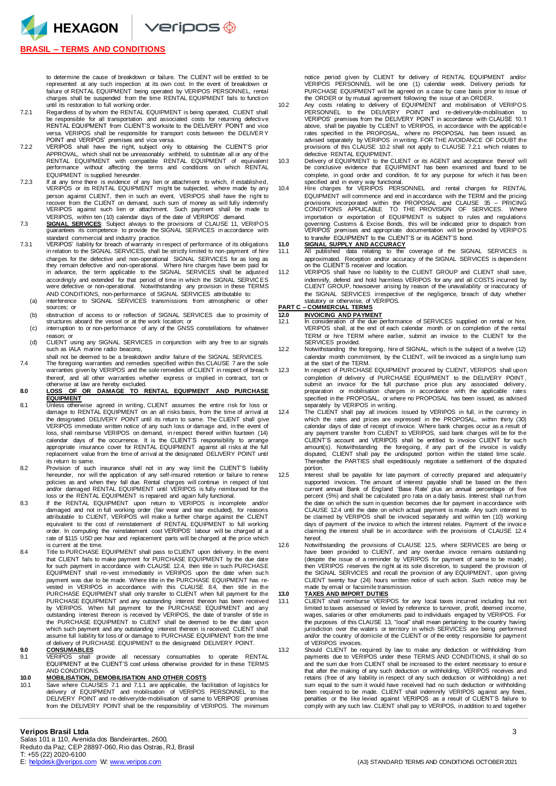

# **BRASIL – TERMS AND CONDITIONS**

to determine the cause of breakdown or failure. The CLIENT will be entitled to be represented at any such inspection at its own cost. In the event of breakdown or failure of RENTAL EQUIPMENT being operated by VERIPOS PERSONNEL, rental charges shall be suspended from the time RENTAL EQUIPMENT fails to functi on until its restoration to full working order.

- 7.2.1 Regardless of by whom the RENTAL EQUIPMENT is being operated, CLIENT shall be responsible for all transportation and associated costs for returning defecti ve RENTAL EQUIPMENT from CLIENT'S worksite to the DELIVERY POINT and vice versa. VERIPOS shall be responsible for transport costs between the DELIVER Y POINT and VERIPOS' premises and vice versa.
- 7.2.2 VERIPOS shall have the right, subject only to obtaining the CLIENT'S prior APPROVAL, which shall not be unreasonably withheld, to substitute all or any of the RENTAL EQUIPMENT with compatible RENTAL EQUIPMENT of equivalent performance without affecting the terms and conditions on which RENTAL EQUIPMENT is supplied hereunder.
- 7.2.3 If at any time there is evidence of any lien or attachment to which, if established, VERIPOS or its RENTAL EQUIPMENT might be subjected, where made by any person against CLIENT, then in such an event, VERIPOS shall have the right to<br>recover from the CLIENT on demand, such sum of money as will fully indemnify<br>VERIPOS against such lien or attachment. Such payment shall be made VERIPOS, within ten (10) calendar days of the date of VERIPOS' demand.
- 7.3 **SIGNAL SERVICES**: Subject always to the provisions of CLAUSE 11, VERIPOS guarantees its competence to provide the SIGNAL SERVICES in accordance with standard commercial and industry practice.
- 7.3.1 VERIPOS' liability for breach of warranty in respect of performance of its obligations in relation to the SIGNAL SERVICES, shall be strictly limited to non-payment of hire charges for the defective and non-operational SIGNAL SERVICES for as long as they remain defective and non-operational. Where hire charges have been paid for in advance, the term applicable to the SIGNAL SERVICES shall be adjusted accordingly and extended for that period of time in which the SIGNAL SERVIC ES were defective or non-operational. Notwithstanding any provision in these TERMS AND CONDITIONS, non-performance of SIGNAL SERVICES attributable to:
	- (a) interference to SIGNAL SERVICES transmissions from atmospheric or other sources; or
	- (b) obstruction of access to or reflection of SIGNAL SERVICES due to proximity of structures aboard the vessel or at the work location; or (c) interruption to or non-performance of any of the GNSS constellations for whatever
	- reason; or
	- (d) CLIENT using any SIGNAL SERVICES in conjunction with any free to air signals such as IALA marine radio beacons.
- shall not be deemed to be a breakdown and/or failure of the SIGNAL SERVICES. 7.4 The foregoing warranties and remedies specified within this CLAUSE 7 are the sole warranties given by VERIPOS and the sole remedies of CLIENT in respect of breach thereof, and all other warranties whether express or implied in contract, tort or otherwise at law are hereby excluded.
- **8.0 LOSS OF OR DAMAGE TO RENTAL EQUIPMENT AND PURCHASE EQUIPMENT**
- 8.1 Unless otherwise agreed in writing, CLIENT assumes the entire risk for loss or damage to RENTAL EQUIPMENT on an all risks basis, from the time of arrival at the designated DELIVERY POINT until its return to same. The CLIENT shall give VERIPOS immediate written notice of any such loss or damage and, in the event of loss, shall reimburse VERIPOS on demand, in respect thereof within fourteen (14) calendar days of the occurrence. It is the CLIENT'S responsibility to arrange appropriate insurance cover for RENTAL EQUIPMENT against all risks at the full replacement value from the time of arrival at the designated DELIVERY POINT until its return to same.
- 8.2 Provision of such insurance shall not in any way limit the CLIENT'S liability hereunder, nor will the application of any self-insured retention or failure to renew policies as and when they fall due. Rental charges will continue in respect of lost and/or damaged RENTAL EQUIPMENT until VERIPOS is fully reimbursed for the loss or the RENTAL EQUIPMENT is repaired and again fully functional.
- 8.3 If the RENTAL EQUIPMENT upon return to VERIPOS is incomplete and/or damaged and not in full working order (fair wear and tear excluded), for reasons attributable to CLIENT, VERIPOS will make a further charge against the CLIENT equivalent to the cost of reinstatement of RENTAL EQUIPMENT to full working order. In computing the reinstatement cost VERIPOS' labour will be charged at a rate of \$115 USD per hour and replacement parts will be charged at the price which is current at the time.
- 8.4 Title to PURCHASE EQUIPMENT shall pass to CLIENT upon delivery. In the event that CLIENT fails to make payment for PURCHASE EQUIPMENT by the due date for such payment in accordance with CLAUSE 12.4, then title in such PURCHASE EQUIPMENT shall re-vest immediately in VERIPOS upon the date when such payment was due to be made. Where title in the PURCHASE EQUIPMENT has re-vested in VERIPOS in accordance with this CLAUSE 8.4, then title in the PURCHASE EQUIPMENT shall only transfer to CLIENT when full payment for the PURCHASE EQUIPMENT and any outstanding interest thereon has been received by VERIPOS. When full payment for the PURCHASE EQUIPMENT and any outstanding interest thereon is received by VERIPOS, the date of transfer of title in the PURCHASE EQUIPMENT to CLIENT shall be deemed to be the date upon<br>which such payment and any outstanding interest thereon is received. CLIENT shall<br>assume full liability for loss of or damage to PURCHASE EQUIPMENT from of delivery of PURCHASE EQUIPMENT to the designated DELIVERY POINT.

**9.0 CONSUMABLES** 9.1 VERIPOS shall provide all necessary consumables to operate RENTAL EQUIPMENT at the CLIENT'S cost unless otherwise provided for in these TERMS EQUIPMENT at the CLIENT'S cost unless otherwise provided for in these TERMS AND CONDITIONS.

## **10.0 MOBILISATION, DEMOBILISATION AND OTHER COSTS**

10.1 Save where CLAUSES 7.1 and 7.1.1 are applicable, the facilitation of logistics for delivery of EQUIPMENT and mobilisation of VERIPOS PERSONNEL to the DELIVERY POINT and re-delivery/de-mobilisation of same to VERIPOS' premises from the DELIVERY POINT shall be the responsibility of VERIPOS. The minimum

### **Veripos Brasil Ltda** 3 Salas 101 a 110, Avenida dos Bandeirantes, 2600,

Reduto da Paz, CEP 28897-060, Rio das Ostras, RJ, Brasil T: +55 (22) 2020-6100<br>E: helpdesk @veripos.com W: www.veripos.com

notice period given by CLIENT for delivery of RENTAL EQUIPMENT and/or VERIPOS PERSONNEL will be one (1) calendar week. Delivery periods for PURCHASE EQUIPMENT will be agreed on a case by case basis prior to issue of the ORDER or by mutual agreement following the issue of an ORDER. 10.2 Any costs relating to delivery of EQUIPMENT and mobilisation of VERIPOS

- PERSONNEL to the DELIVERY POINT and re-delivery/de-mobilisation to VERIPOS' premises from the DELIVERY POINT in accordance with CLAUSE 10.1 above, shall be payable by CLIENT to VERIPOS, in accordance with the applicabl e rates specified in the PROPOSAL, where no PROPOSAL has been issued, as<br>advised separately by VERIPOS in writing. FOR THE AVOIDANCE OF DOUBT the<br>provisions of this CLAUSE 10.2 shall not apply to CLAUSE 7.2.1 which relates t defective RENTAL EQUIPMENT.
- 10.3 Delivery of EQUIPMENT to the CLIENT or its AGENT and acceptance thereof will be conclusive evidence that EQUIPMENT has been examined and found to be complete, in good order and condition, fit for any purpose for which it has been
- specified and in every way functional. 10.4 Hire charges for VERIPOS PERSONNEL and rental charges for RENTAL EQUIPMENT will commence and end in accordance with the TERM and the pricing provisions incorporated within the PROPOSAL and CLAUSE 35 – PRICING CONDITIONS APPLICABLE TO THE PROVISION OF SERVICES. Where importation or exportation of EQUIPMENT is subject to rules and regulations governing Customs & Excise Bonds, this will be indicated prior to dispatch from VERIPOS' premises and appropriate documentation will be provided by VERIPOS to transfer EQUIPMENT to the CLIENT'S or its AGENT'S bond.

- **11.0 SIGNAL SUPPLY AND ACCURACY** 11.1 All published data relating to the coverage of the SIGNAL SERVICES is approximated. Reception and/or accuracy of the SIGNAL SERVICES is dependent on the CLIENT'S receiver and location.
- 11.2 VERIPOS shall have no liability to the CLIENT GROUP and CLIENT shall save, indemnify, defend and hold harmless VERIPOS for any and all COSTS incurred by CLIENT GROUP, howsoever arising by reason of the unavailability or inaccuracy of the SIGNAL SERVICES irrespective of the negligence, breach of duty whether statutory or otherwise, of VERIPOS. **PART C – COMMERCIAL TERMS**

- **12.0 INVOICING AND PAYMENT**<br>12.1 **In consideration of the due p** 12.1 In consideration of the due performance of SERVICES supplied on rental or hire, VERIPOS shall, at the end of each calendar month or on completion of the rental TERM or hire TERM where earlier, submit an invoice to the CLIENT for the SERVICES provided.
- 12.2 Notwithstanding the foregoing, hire of SIGNAL, which is the subject of a twelve (12) calendar month commitment, by the CLIENT, will be invoiced as a single lump sum at the start of the TERM.
- 12.3 In respect of PURCHASE EQUIPMENT procured by CLIENT, VERIPOS shall upon completion of delivery of PURCHASE EQUIPMENT to the DELIVERY POINT, submit an invoice for the full purchase price plus any associated delivery, preparation or mobilisation charges in accordance with the applicable rates specified in the PROPOSAL, or where no PROPOSAL has been issued, as advised separately by VERIPOS in writing.
- 12.4 The CLIENT shall pay all invoices issued by VERIPOS in full, in the currency in which the rates and prices are expressed in the PROPOSAL, within thirty (30)<br>calendar days of date of receipt of invoice. Where bank charges occur as a result of<br>any payment transfer from CLIENT to VERIPOS, said bank charg CLIENT'S account and VERIPOS shall be entitled to invoice CLIENT for such<br>amount(s). Notwithstanding the foregoing, if any part of the invoice is validly<br>disputed, CLIENT shall pay the undisputed portion within the stated Thereafter the PARTIES shall expeditiously negotiate a settlement of the disputed portion.
- 12.5 Interest shall be payable for late payment of correctly prepared and adequatel y supported invoices. The amount of interest payable shall be based on the then current annual Bank of England 'Base Rate' plus an annual percentage of five percent (5%) and shall be calculated pro rata on a daily basis. Interest shall run from the date on which the sum in question becomes due for payment in accordance with CLAUSE 12.4 until the date on which actual payment is made. Any such interest to be claimed by VERIPOS shall be invoiced separately and within ten (10) working days of payment of the invoice to which the interest relates. Payment of the invoice claiming the interest shall be in accordance with the provisions of CLAUSE 12.4 hereof.
- 12.6 Notwithstanding the provisions of CLAUSE 12.5, where SERVICES are being or have been provided to CLIENT, and any overdue invoice remains outstandi ng (despite the issue of a reminder by VERIPOS for payment of same to be made) , then VERIPOS reserves the right at its sole discretion, to suspend the provision of the SIGNAL SERVICES and recall the provision of any EQUIPMENT, upon giving CLIENT twenty four (24) hours written notice of such action. Such notice may be made by email or facsimile transmission.

### **13.0 TAXES AND IMPORT DUTIES**

- 13.1 CLIENT shall reimburse VERIPOS for any local taxes incurred including but not limited to taxes assessed or levied by reference to turnover, profit, deemed income, wages, salaries or other emoluments paid to individuals engaged by VERIPOS. For the purposes of this CLAUSE 13, "local" shall mean pertaining to the country having<br>jurisdiction over the waters or territory in which SERVICES are being performed<br>and/or the country of domicile of the CLIENT or of the ent of VERIPOS invoices.
- 13.2 Should CLIENT be required by law to make any deduction or withholding from payments due to VERIPOS under these TERMS AND CONDITIONS, it shall do so and the sum due from CLIENT shall be increased to the extent necessary to ensur e that after the making of any such deduction or withholding, VERIPOS receives and retains (free of any liability in respect of any such deduction or withholding) a net sum equal to the sum it would have received had no such deduction or withholding<br>been required to be made. CLIENT shall indemnify VERIPOS against any fines,<br>penalties or the like levied against VERIPOS as a result of CLI comply with any such law. CLIENT shall pay to VERIPOS, in addition to and together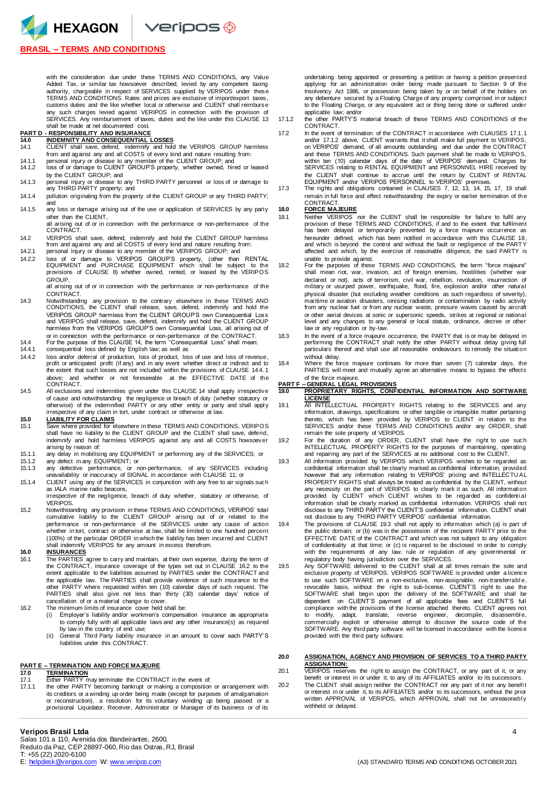## **BRASIL – TERMS AND CONDITIONS**

with the consideration due under these TERMS AND CONDITIONS, any Value Added Tax, or similar tax howsoever described, levied by any competent taxing authority, chargeable in respect of SERVICES supplied by VERIPOS under these TERMS AND CONDITIONS. Rates and prices are exclusive of import/export taxes, customs duties and the like whether local or otherwise and CLIENT shall reimburse any such charges levied against VERIPOS in connection with the provision of SERVICES. Any reimbursement of taxes, duties and the like under this CLAUSE 13 shall be made at net documented cost.

# **PART D - RESPONSIBILITY AND INSURANCE**

- **14.0 INDEMNITY AND CONSEQUENTIAL LOSSES THE STATE SCREED STATE LOCALS**<br>CLIENT shall save, defend, indemnify and hold the VERIPOS GROUP harmless from and against any and all COSTS of every kind and nature resulting from:
- 14.1.1 personal injury or disease to any member of the CLIENT GROUP; and 14.1.2 loss of or damage to CLIENT GROUP'S property, whether owned, hir
- 16.1.2 loss of or damage to CLIENT GROUP'S property, whether owned, hired or leased by the CLIENT GROUP; and
- 14.1.3 personal injury or disease to any THIRD PARTY personnel or loss of or damage to any THIRD PARTY property; and
- 14.1.4 pollution originating from the property of the CLIENT GROUP or any THIRD PARTY; and 14.1.5 any loss or damage arising out of the use or application of SERVICES by any party
- other than the CLIENT, all arising out of or in connection with the performance or non-performance of the
- CONTRACT. 14.2 VERIPOS shall save, defend, indemnify and hold the CLIENT GROUP harmless from and against any and all COSTS of every kind and nature resulting from: 14.2.1 personal injury or disease to any member of the VERIPOS GROUP; and
- 14.2.2 loss of or damage to VERIPOS GROUP'S property, (other than RENTAL EQUIPMENT and PURCHASE EQUIPMENT which shall be subject to the provisions of CLAUSE 8) whether owned, rented, or leased by the VERIPOS GROUP,

all arising out of or in connection with the performance or non-performance of the CONTRACT.

- 14.3 Notwithstanding any provision to the contrary elsewhere in these TERMS AND CONDITIONS, the CLIENT shall release, save, defend, indemnify and hold the VERIPOS GROUP harmless from the CLIENT GROUP'S own Consequential Loss and VERIPOS shall release, save, defend, indemnify and hold the CLIENT GROUP harmless from the VERIPOS GROUP'S own Consequential Loss, all arising out of or in connection with the performance or non-performance of the CONTRACT.
- 14.4 For the purpose of this CLAUSE 14, the term "Consequential Loss" shall mean: 14.4.1 consequential loss defined by English law; as well as
- 14.4.2 loss and/or deferral of production, loss of product, loss of use and loss of revenue, profit or anticipated profit (if any) and in any event whether direct or indirect and to the extent that such losses are not included within the provisions of CLAUSE 14.4.1 above; and whether or not foreseeable at the EFFECTIVE DATE of the CONTRACT
- 14.5 All exclusions and indemnities given under this CLAUSE 14 shall apply irrespective of cause and notwithstanding the negligence or breach of duty (whether statutory or otherwise) of the indemnified PARTY or any other entity or party and shall appl y irrespective of any claim in tort, under contract or otherwise at law.

- **15.0 LIABILITY FOR CLAIMS**<br>15.1 Save where provided for elsewhere in these TERMS AND CONDITIONS, VERIPOS<br>shall have no liability to the CLIENT GROUP and the CLIENT shall save, defend, indemnify and hold harmless VERIPOS against any and all COSTS howsoever arising by reason of:
- 15.1.1 any delay in mobilising any EQUIPMENT or performing any of the SERVICES; or 15.1.2 any defect in any EQUIPMENT; or<br>15.1.3 any defective performance, or n
- 15.1.3 any defective performance, or non-performance, of any SERVICES including unavailability or inaccuracy of SIGNAL in accordance with CLAUSE 11; or
- 15.1.4 CLIENT using any of the SERVICES in conjunction with any free to air signals such as IALA marine radio beacons,

irrespective of the negligence, breach of duty whether, statutory or otherwise, of VERIPOS.

15.2 Notwithstanding any provision in these TERMS AND CONDITIONS, VERIPOS' total cumulative liability to the CLIENT GROUP arising out of or related to the performance or non-performance of the SERVICES under any cause of action whether in tort, contract or otherwise at law, shall be limited to one hundred percent (100%) of the particular ORDER in which the liability has been incurred and CLIENT shall indemnify VERIPOS for any amount in excess therefrom.

**16.0 INSURANCES**

16.1 The PARTIES agree to carry and maintain, at their own expense, during the term of the CONTRACT, insurance coverage of the types set out in CLAUSE 16.2 to the extent applicable to the liabilities assumed by PARTIES under the CONTRACT and the applicable law. The PARTIES shall provide evidence of such insurance to the other PARTY where requested within ten (10) calendar days of such request. The PARTIES shall also give not less than thirty (30) calendar days' notice of cancellation of or a material change to cover.

16.2 The minimum limits of insurance cover held shall be:

- (i) Employer's liability and/or workmen's compensation insurance as appropriate to comply fully with all applicable laws and any other insurance(s) as required by law in the country of end use; (ii) General Third Party liability insurance in an amount to cover each PARTY' S
- liabilities under this CONTRACT.

## **PART E – TERMINATION AND FORCE MAJEURE**

- **17.0 TERMINATION** 17.1 Either PARTY may terminate the CONTRACT in the event of:
- 17.1.1 the other PARTY becoming bankrupt or making a composition or arrangement with its creditors or a winding up order being made (except for purposes of amalgamation<br>or reconstruction), a resolution for its voluntary winding up being passed or a<br>provisional Liquidator, Receiver, Administrator or Manager

## **Veripos Brasil Ltda** 4

Salas 101 a 110, Avenida dos Bandeirantes, 2600, Reduto da Paz, CEP 28897-060, Rio das Ostras, RJ, Brasil T: +55 (22) 2020-6100<br>E: helpdesk @veripos.com W: www.veripos.com

undertaking being appointed or presenting a petition or having a petition presented applying for an administration order being made pursuant to Section 9 of the Insolvency Act 1986, or possession being taken by or on behalf of the holders on any debenture secured by a Floating Charge of any property comprised in or subject to the Floating Charge, or any equivalent act or thing being done or suffered under applicable law; and/or

- 17.1.2 the other PARTY'S material breach of these TERMS AND CONDITIONS of the CONTRACT.
- 17.2 In the event of termination of the CONTRACT in accordance with CLAUSES 17.1.1 and/or 17.1.2 above, CLIENT warrants that it shall make full payment to VERIPOS, on VERIPOS' demand, of all amounts outstanding and due under the CONTRACT and these TERMS AND CONDITIONS. Such payment shall be made to VERIPOS, within ten (10) calendar days of the date of VERIPOS' demand. Charges for SERVICES relating to RENTAL EQUIPMENT and PERSONNEL HIRE received by the CLIENT shall continue to accrue until the return by CLIENT of RENTAL EQUIPMENT and/or VERIPOS PERSONNEL to VERIPOS' premises.
- 17.3 The rights and obligations contained in CLAUSES 7, 12, 13, 14, 15, 17, 19 shall remain in full force and effect notwithstanding the expiry or earlier termination of th e **CONTRACT**

## **18.0 FORCE MAJEURE**

- 18.1 Neither VERIPOS nor the CLIENT shall be responsible for failure to fulfil any provision of these TERMS AND CONDITIONS, if and to the extent that fulfilment has been delayed or temporarily prevented by a force majeure occurrence as hereunder defined, which has been notified in accordance with this CLAUSE 18, and which is beyond the control and without the fault or negligence of the PARTY affected and which, by the exercise of reasonable diligence, the said PARTY is unable to provide against.
- 18.2 For the purposes of these TERMS AND CONDITIONS, the term "force majeure" shall mean riot, war, invasion, act of foreign enemies, hostilities (whether war declared or not), acts of terrorism, civil war, rebellion, revolution, insurrection of military or usurped power, earthquake, flood, fire, explosion and/or other natural physical disaster (but excluding weather conditions as such regardless of severity), maritime or aviation disasters, ionising radiations or contamination by radio activity from any nuclear fuel or from any nuclear waste, pressure waves caused by aircraft or other aerial devices at sonic or supersonic speeds, strikes at regional or national level and any changes to any general or local statute, ordinance, decree or other law or any regulation or by-law.
- 18.3 In the event of a force majeure occurrence, the PARTY that is or may be delayed in performing the CONTRACT shall notify the other PARTY without delay giving full particulars thereof and shall use all reasonable endeavours to remedy the situati on without delay.
- 18.4 Where the force majeure continues for more than seven (7) calendar days, the PARTIES will meet and mutually agree an alternative means to bypass the effects of the force majeure.

# **PART F – GENERAL LEGAL PROVISIONS**

**19.0 PROPRIETARY RIGHTS, CONFIDENTIAL INFORMATION AND SOFTWARE LICENSE** 19.1 All INTELLECTUAL PROPERTY RIGHTS relating to the SERVICES and any

- information, drawings, specifications or other tangible or intangible matter pertaining thereto, which has been provided by VERIPOS to CLIENT in relation to the SERVICES and/or these TERMS AND CONDITIONS and/or any ORDER, shall remain the sole property of VERIPOS.
- 19.2 For the duration of any ORDER, CLIENT shall have the right to use such<br>INTELLECTUAL PROPERTY RIGHTS for the purposes of maintaining, operating<br>and repairing any part of the SERVICES at no additional cost to the CLIENT
- 19.3 All information provided by VERIPOS which VERIPOS wishes to be regarded as confidential information shall be clearly marked as confidential information, provided however that any information relating to VERIPOS' pricing and INTELLECTU AL PROPERTY RIGHTS shall always be treated as confidential by the CLIENT, without any necessity on the part of VERIPOS to clearly mark it as such. All informati on provided by CLIENT which CLIENT wishes to be regarded as confidenti al information shall be clearly marked as confidential information. VERIPOS shall not disclose to any THIRD PARTY the CLIENT'S confidential information. CLIENT shall not disclose to any THIRD PARTY VERIPOS' confidential information.
- 19.4 The provisions of CLAUSE 19.3 shall not apply to information which (a) is part of the public domain; or (b) was in the possession of the recipient PARTY prior to the EFFECTIVE DATE of the CONTRACT and which was not subject to any obligation of confidentiality at that time; or (c) is required to be disclosed in order to comply with the requirements of any law, rule or regulation of any governmental or regulatory body having jurisdiction over the SERVICES.
- 19.5 Any SOFTWARE delivered to the CLIENT shall at all times remain the sole and exclusive property of VERIPOS. VERIPOS SOFTWARE is provided under a licence to use such SOFTWARE on a non-exclusive, non-assignable, non-transferrable,<br>revocable basis, without the right to sub-license. CLIENT'S right to use the SOFTWARE shall begin upon the delivery of the SOFTWARE and shall be dependent on CLIENT'S payment of all applicable fees and CLIENT'S full compliance with the provisions of the license attached thereto. CLIENT agrees not to modify, adapt, translate, reverse engineer, decompile, disassemble, commercially exploit or otherwise attempt to discover the source code of the SOFTWARE. Any third party software will be licensed in accordance with the license provided with the third party software.

### **20.0 ASSIGNATION, AGENCY AND PROVISION OF SERVICES TO A THIRD PARTY ASSIGNATION:**

20.1 VERIPOS reserves the right to assign the CONTRACT, or any part of it, or any benefit or interest in or under it, to any of its AFFILIATES and/or to its successors.

20.2 The CLIENT shall assign neither the CONTRACT nor any part of it nor any benefi t or interest in or under it, to its AFFILIATES and/or to its successors, without the prior<br>written APPROVAL of VERIPOS, which APPROVAL shall not be unreasonably withheld or delayed.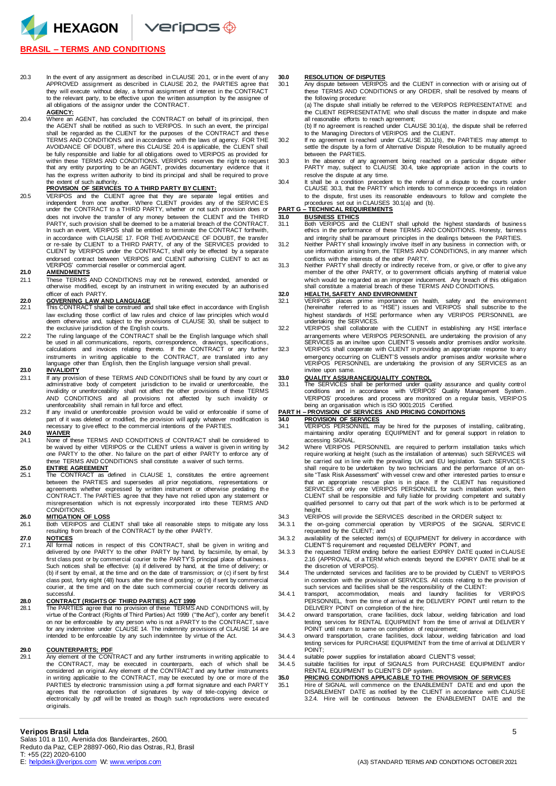HEXAGON Veripos +

# **BRASIL – TERMS AND CONDITIONS**

20.3 In the event of any assignment as described in CLAUSE 20.1, or in the event of any APPROVED assignment as described in CLAUSE 20.2, the PARTIES agree that they will execute without delay, a formal assignment of interest in the CONTRACT to the relevant party, to be effective upon the written assumption by the assignee of all obligations of the assignor under the CONTRACT.

**AGENCY:** 20.4 Where an AGENT, has concluded the CONTRACT on behalf of its principal, then the AGENT shall be notified as such to VERIPOS. In such an event, the principal shall be regarded as the CLIENT for the purposes of the CONTRACT and these TERMS AND CONDITIONS and in accordance with the laws of agency. FOR THE AVOIDANCE OF DOUBT, where this CLAUSE 20.4 is applicable, the CLIENT shall be fully responsible and liable for all obligations owed to VERIPOS as provided for within these TERMS AND CONDITIONS. VERIPOS reserves the right to request that any entity purporting to be an AGENT, provides documentary evidence that it has the express written authority to bind its principal and shall be required to prove the extent of such authority.

## **PROVISION OF SERVICES TO A THIRD PARTY BY CLIENT:**

20.5 VERIPOS and the CLIENT agree that they are separate legal entities and<br>independent from one another. Where CLIENT provides any of the SERVICES<br>under the CONTRACT to a THIRD PARTY, whether or not such provision does or does not involve the transfer of any money between the CLIENT and the THIRD PARTY, such provision shall be deemed to be a material breach of the CONTRACT. In such an event, VERIPOS shall be entitled to terminate the CONTRACT forthwith, in accordance with CLAUSE 17. FOR THE AVOIDANCE OF DOUBT, the transfer<br>or re-sale by CLIENT to a THIRD PARTY, of any of the SERVICES provided to<br>CLIENT by VERIPOS under the CONTRACT, shall only be effected by a separate endorsed contract between VERIPOS and CLIENT authorising CLIENT to act as VERIPOS' commercial reseller or commercial agent.

# 21.0 **AMENDMENTS**<br>21.1 These TERMS

These TERMS AND CONDITIONS may not be renewed, extended, amended or otherwise modified, except by an instrument in writing executed by an authorised officer of each PARTY.

- **22.0 GOVERNING LAW AND LANGUAGE** 22.1 This CONTRACT shall be construed and shall take effect in accordance with English law excluding those conflict of law rules and choice of law principles which would deem otherwise and, subject to the provisions of CLAUSE 30, shall be subject to the exclusive jurisdiction of the English courts.
- 22.2 The ruling language of the CONTRACT shall be the English language which shall be used in all communications, reports, correspondence, drawings, specifications, calculations and invoices relating thereto. If the CONTRACT or any further instruments in writing applicable to the CONTRACT, are translated into any language other than English, then the English language version shall prevail.

### **23.0 INVALIDITY**

- 23.1 If any provision of these TERMS AND CONDITIONS shall be found by any court or administrative body of competent jurisdiction to be invalid or unenforceable, the invalidity or unenforceability shall not affect the other provisions of these TERMS AND CONDITIONS and all provisions not affected by such invalidity or<br>unenforceability shall remain in full force and effect.<br>23.2 If any invalid or unenforceable provision would be valid or enforceable if some of
- part of it was deleted or modified, the provision will apply whatever modification is necessary to give effect to the commercial intentions of the PARTIES.

### **24.0 WAIVER**

24.1 None of these TERMS AND CONDITIONS of CONTRACT shall be considered to be waived by either VERIPOS or the CLIENT unless a waiver is given in writing by one PARTY to the other. No failure on the part of either PARTY to enforce any of these TERMS AND CONDITIONS shall constitute a waiver of such terms.

## **25.0 ENTIRE AGREEMENT**

25.1 The CONTRACT as defined in CLAUSE 1, constitutes the entire agreement between the PARTIES and supersedes all prior negotiations, representations or agreements whether expressed by written instrument or otherwise predating th e CONTRACT. The PARTIES agree that they have not relied upon any statement or misrepresentation which is not expressly incorporated into these TERMS AND CONDITIONS

# 26.0 **MITIGATION OF LOSS**<br>26.1 **Both VERIPOS and CL**

Both VERIPOS and CLIENT shall take all reasonable steps to mitigate any loss resulting from breach of the CONTRACT by the other PARTY.

**27.0 NOTICES** 27.1 All formal notices in respect of this CONTRACT, shall be given in writing and delivered by one PARTY to the other PARTY by hand, by facsimile, by email, by first class post or by commercial courier to the PARTY'S principal place of business. Such notices shall be effective: (a) if delivered by hand, at the time of delivery; or (b) if sent by email, at the time and on the date of transmission; or (c) if sent by first class post, forty eight (48) hours after the time of posting; or (d) if sent by commercial courier, at the time and on the date such commercial courier records delivery as successful.

**28.0 CONTRACT (RIGHTS OF THIRD PARTIES) ACT 1999** 28.1 The PARTIES agree that no provision of these TERMS AND CONDITIONS will, by virtue of the Contract (Rights of Third Parties) Act 1999 ("the Act"), confer any benefi t on nor be enforceable by any person who is not a PARTY to the CONTRACT, save for any indemnitee under CLAUSE 14. The indemnity provisions of CLAUSE 14 are intended to be enforceable by any such indemnitee by virtue of the Act.

# **29.0 COUNTERPARTS; PDF**<br>29.1 Any element of the CON

Any element of the CONTRACT and any further instruments in writing applicable to the CONTRACT, may be executed in counterparts, each of which shall be considered an original. Any element of the CONTRACT and any further instruments in writing applicable to the CONTRACT, may be executed by one or more of the PARTIES by electronic transmission using a .pdf format signature and each PARTY agrees that the reproduction of signatures by way of tele-copying device or electronically by .pdf will be treated as though such reproductions were executed originals.

**30.0 RESOLUTION OF DISPUTES** 30.1 Any dispute between VERIPOS and the CLIENT in connection with or arising out of these TERMS AND CONDITIONS or any ORDER, shall be resolved by means of the following procedure:

(a) The dispute shall initially be referred to the VERIPOS REPRESENTATIVE and the CLIENT REPRESENTATIVE who shall discuss the matter in dispute and make all reasonable efforts to reach agreement;

- (b) If no agreement is reached under CLAUSE 30.1(a), the dispute shall be referred to the Managing Directors of VERIPOS and the CLIENT. 30.2 If no agreement is reached under CLAUSE 30.1(b), the PARTIES may attempt to
- settle the dispute by a form of Alternative Dispute Resolution to be mutually agreed between the PARTIES.
- 30.3 In the absence of any agreement being reached on a particular dispute either PARTY may, subject to CLAUSE 30.4, take appropriate action in the courts to resolve the dispute at any time.
- 30.4 It shall be a condition precedent to the referral of a dispute to the courts under CLAUSE 30.3, that the PARTY which intends to commence proceedings in relation to the dispute, first uses its reasonable endeavours to follow and complete the procedures set out in CLAUSES 30.1(a) and (b).

# **PART G – TECHNICAL REQUIREMENTS**

- 
- **31.0 BUSINESS ETHICS** 31.1 Both VERIPOS and the CLIENT shall uphold the highest standards of business ethics in the performance of these TERMS AND CONDITIONS. Honesty, fairness
- and integrity shall be paramount principles in the dealings between the PARTIES.<br>31.2 Neither PARTY shall knowingly involve itself in any business in connection with, or<br>use information arising from, the TERMS AND CONDITIO conflicts with the interests of the other PARTY.
- 31.3 Neither PARTY shall directly or indirectly receive from, or give, or offer to give any member of the other PARTY, or to government officials anything of material value which would be regarded as an improper inducement. Any breach of this obligation shall constitute a material breach of these TERMS AND CONDITIONS.

# **32.0 HEALTH, SAFETY AND ENVIRONMENT**

- 32.1 VERIPOS places prime importance on health, safety and the environment (hereinafter referred to as "HSE") issues and VERIPOS shall subscribe to the highest standards of HSE performance when any VERIPOS PERSONNEL are undertaking the SERVICES.
- 32.2 VERIPOS shall collaborate with the CLIENT in establishing any HSE interface arrangements where VERIPOS PERSONNEL are undertaking the provision of any
- SERVICES as an invitee upon CLIENT'S vessels and/or premises and/or worksite. 32.3 VERIPOS shall cooperate with CLIENT in providing an appropriate response to any emergency occurring on CLIENT'S vessels and/or premises and/or worksite where VERIPOS PERSONNEL are undertaking the provision of any SERVICES as an invitee upon same.

**33.0 QUALITY ASSURANCE/QUALITY CONTROL**<br>33.1 The SERVICES shall be performed under quality assurance and quality control<br>conditions and in accordance with VERIPOS' Quality Management System . VERIPOS' procedures and process are monitored on a regular basis, VERIPOS being an organisation which is ISO 9001:2015 Certified.

# **PART H – PROVISION OF SERVICES AND PRICING CONDITIONS**

- **34.0 PROVISION OF SERVICES** 34.1 VERIPOS PERSONNEL may be hired for the purposes of installing, calibrating, maintaining and/or operating EQUIPMENT and for general support in relation to
- accessing SIGNAL. 34.2 Where VERIPOS PERSONNEL are required to perform installation tasks which require working at height (such as the installation of antennas) such SERVICES will be carried out in line with the prevailing UK and EU legislation. Such SERVICES shall require to be undertaken by two technicians and the performance of an on-site "Task Risk Assessment" with vessel crew and other interested parties to ensur e that an appropriate rescue plan is in place. If the CLIENT has requisitioned SERVICES of only one VERIPOS PERSONNEL for such installation work, then CLIENT shall be responsible and fully liable for providing competent and suitabl y qualified personnel to carry out that part of the work which is to be performed at height.
- 34.3 VERIPOS will provide the SERVICES described in the ORDER subject to:<br>34.3.1 the on-going commercial operation by VERIPOS of the SIGNAL S
- the on-going commercial operation by VERIPOS of the SIGNAL SERVICE requested by the CLIENT; and
- 34.3.2 availability of the selected item(s) of EQUIPMENT for delivery in accordance with CLIENT'S requirement and requested DELIVERY POINT, and
- 34.3.3 the requested TERM ending before the earliest EXPIRY DATE quoted in CLAUSE 2.16 (APPROVAL of a TERM which extends beyond the EXPIRY DATE shall be at the discretion of VERIPOS).
- 34.4 The undernoted services and facilities are to be provided by CLIENT to VERIPOS in connection with the provision of SERVICES. All costs relating to the provision of such services and facilities shall be the responsibility of the CLIENT:
- 34.4.1 transport, accommodation, meals and laundry facilities for VERIPOS PERSONNEL, from the time of arrival at the DELIVERY POINT until return to the DELIVERY POINT on completion of the hire;
- 34.4.2 onward transportation, crane facilities, dock labour, welding fabrication and load testing services for RENTAL EQUIPMENT from the time of arrival at DELIVER Y POINT until return to same on completion of requirement;
- 34.4.3 onward transportation, crane facilities, dock labour, welding fabrication and load testing services for PURCHASE EQUIPMENT from the time of arrival at DELIVER Y POINT;
- 34.4.4 suitable power supplies for installation aboard CLIENT'S vessel;
- 34.4.5 suitable facilities for input of SIGNALS from PURCHASE EQUIPMENT and/or RENTAL EQUIPMENT to CLIENT'S DP system.

# **35.0 PRICING CONDITIONS APPLICABLE TO THE PROVISION OF SERVICES**

35.1 Hire of SIGNAL will commence on the ENABLEMENT DATE and end upon the DISABLEMENT DATE as notified by the CLIENT in accordance with CLAUSE 3.2.4. Hire will be continuous between the ENABLEMENT DATE and the

Salas 101 a 110, Avenida dos Bandeirantes, 2600, Reduto da Paz, CEP 28897-060, Rio das Ostras, RJ, Brasil T: +55 (22) 2020-6100<br>E: helpdesk @veripos.com W: www.veripos.com